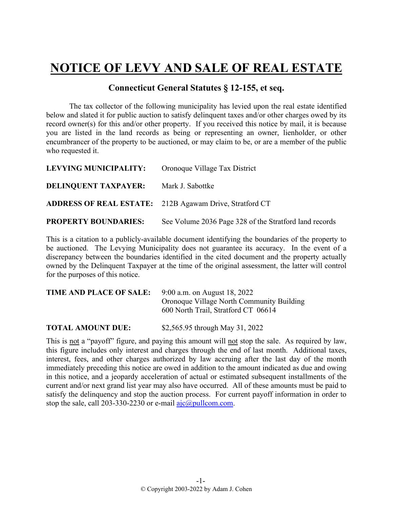## **NOTICE OF LEVY AND SALE OF REAL ESTATE**

## **Connecticut General Statutes § 12-155, et seq.**

The tax collector of the following municipality has levied upon the real estate identified below and slated it for public auction to satisfy delinquent taxes and/or other charges owed by its record owner(s) for this and/or other property. If you received this notice by mail, it is because you are listed in the land records as being or representing an owner, lienholder, or other encumbrancer of the property to be auctioned, or may claim to be, or are a member of the public who requested it.

| <b>LEVYING MUNICIPALITY:</b> | Oronoque Village Tax District                                  |
|------------------------------|----------------------------------------------------------------|
| <b>DELINQUENT TAXPAYER:</b>  | Mark J. Sabottke                                               |
|                              | <b>ADDRESS OF REAL ESTATE:</b> 212B Agawam Drive, Stratford CT |
| <b>PROPERTY BOUNDARIES:</b>  | See Volume 2036 Page 328 of the Stratford land records         |

This is a citation to a publicly-available document identifying the boundaries of the property to be auctioned. The Levying Municipality does not guarantee its accuracy. In the event of a discrepancy between the boundaries identified in the cited document and the property actually owned by the Delinquent Taxpayer at the time of the original assessment, the latter will control for the purposes of this notice.

| TIME AND PLACE OF SALE: | 9:00 a.m. on August 18, 2022              |
|-------------------------|-------------------------------------------|
|                         | Oronoque Village North Community Building |
|                         | 600 North Trail, Stratford CT 06614       |
|                         |                                           |

**TOTAL AMOUNT DUE:** \$2,565.95 through May 31, 2022

This is not a "payoff" figure, and paying this amount will not stop the sale. As required by law, this figure includes only interest and charges through the end of last month. Additional taxes, interest, fees, and other charges authorized by law accruing after the last day of the month immediately preceding this notice are owed in addition to the amount indicated as due and owing in this notice, and a jeopardy acceleration of actual or estimated subsequent installments of the current and/or next grand list year may also have occurred. All of these amounts must be paid to satisfy the delinquency and stop the auction process. For current payoff information in order to stop the sale, call 203-330-2230 or e-mail  $a$ jc $@p$ ullcom.com.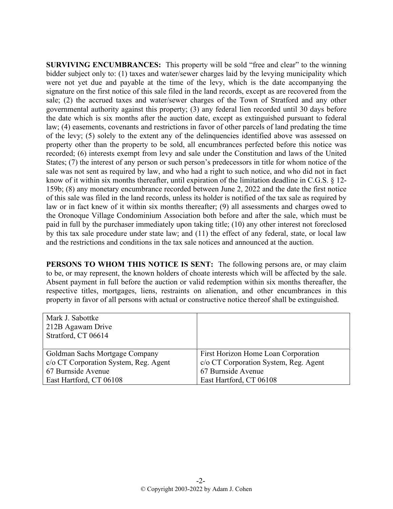**SURVIVING ENCUMBRANCES:** This property will be sold "free and clear" to the winning bidder subject only to: (1) taxes and water/sewer charges laid by the levying municipality which were not yet due and payable at the time of the levy, which is the date accompanying the signature on the first notice of this sale filed in the land records, except as are recovered from the sale; (2) the accrued taxes and water/sewer charges of the Town of Stratford and any other governmental authority against this property; (3) any federal lien recorded until 30 days before the date which is six months after the auction date, except as extinguished pursuant to federal law; (4) easements, covenants and restrictions in favor of other parcels of land predating the time of the levy; (5) solely to the extent any of the delinquencies identified above was assessed on property other than the property to be sold, all encumbrances perfected before this notice was recorded; (6) interests exempt from levy and sale under the Constitution and laws of the United States; (7) the interest of any person or such person's predecessors in title for whom notice of the sale was not sent as required by law, and who had a right to such notice, and who did not in fact know of it within six months thereafter, until expiration of the limitation deadline in C.G.S. § 12- 159b; (8) any monetary encumbrance recorded between June 2, 2022 and the date the first notice of this sale was filed in the land records, unless its holder is notified of the tax sale as required by law or in fact knew of it within six months thereafter; (9) all assessments and charges owed to the Oronoque Village Condominium Association both before and after the sale, which must be paid in full by the purchaser immediately upon taking title; (10) any other interest not foreclosed by this tax sale procedure under state law; and (11) the effect of any federal, state, or local law and the restrictions and conditions in the tax sale notices and announced at the auction.

**PERSONS TO WHOM THIS NOTICE IS SENT:** The following persons are, or may claim to be, or may represent, the known holders of choate interests which will be affected by the sale. Absent payment in full before the auction or valid redemption within six months thereafter, the respective titles, mortgages, liens, restraints on alienation, and other encumbrances in this property in favor of all persons with actual or constructive notice thereof shall be extinguished.

| Mark J. Sabottke<br>212B Agawam Drive<br>Stratford, CT 06614 |                                       |
|--------------------------------------------------------------|---------------------------------------|
| Goldman Sachs Mortgage Company                               | First Horizon Home Loan Corporation   |
| c/o CT Corporation System, Reg. Agent                        | c/o CT Corporation System, Reg. Agent |
| 67 Burnside Avenue                                           | 67 Burnside Avenue                    |
| East Hartford, CT 06108                                      | East Hartford, CT 06108               |